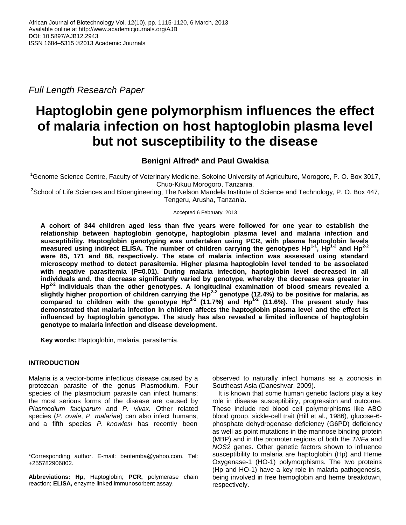*Full Length Research Paper*

# **Haptoglobin gene polymorphism influences the effect of malaria infection on host haptoglobin plasma level but not susceptibility to the disease**

## **Benigni Alfred\* and Paul Gwakisa**

<sup>1</sup>Genome Science Centre, Faculty of Veterinary Medicine, Sokoine University of Agriculture, Morogoro, P. O. Box 3017, Chuo-Kikuu Morogoro, Tanzania.

<sup>2</sup>School of Life Sciences and Bioengineering, The Nelson Mandela Institute of Science and Technology, P. O. Box 447, Tengeru, Arusha, Tanzania.

Accepted 6 February, 2013

**A cohort of 344 children aged less than five years were followed for one year to establish the relationship between haptoglobin genotype, haptoglobin plasma level and malaria infection and susceptibility. Haptoglobin genotyping was undertaken using PCR, with plasma haptoglobin levels measured using indirect ELISA. The number of children carrying the genotypes Hp1-1 , Hp1-2 and Hp2-2 were 85, 171 and 88, respectively. The state of malaria infection was assessed using standard microscopy method to detect parasitemia. Higher plasma haptoglobin level tended to be associated with negative parasitemia (P=0.01). During malaria infection, haptoglobin level decreased in all individuals and, the decrease significantly varied by genotype, whereby the decrease was greater in Hp2-2 individuals than the other genotypes. A longitudinal examination of blood smears revealed a slightly higher proportion of children carrying the Hp2-2 genotype (12.4%) to be positive for malaria, as compared to children with the genotype Hp1-1 (11.7%) and Hp1-2 (11.6%). The present study has demonstrated that malaria infection in children affects the haptoglobin plasma level and the effect is influenced by haptoglobin genotype. The study has also revealed a limited influence of haptoglobin genotype to malaria infection and disease development.** 

**Key words:** Haptoglobin, malaria, parasitemia.

## **INTRODUCTION**

Malaria is a vector-borne infectious disease caused by a protozoan parasite of the genus Plasmodium. Four species of the plasmodium parasite can infect humans; the most serious forms of the disease are caused by *Plasmodium falciparum* and *P. vivax.* Other related species (*P. ovale*, *P. malariae*) can also infect humans, and a fifth species *P. knowlesi* has recently been

**Abbreviations: Hp,** Haptoglobin; **PCR,** polymerase chain reaction; **ELISA,** enzyme linked immunosorbent assay.

observed to naturally infect humans as a zoonosis in Southeast Asia (Daneshvar, 2009).

It is known that some human genetic factors play a key role in disease susceptibility, progression and outcome. These include red blood cell polymorphisms like ABO blood group, sickle-cell trait (Hill et al., 1986), glucose-6 phosphate dehydrogenase deficiency (G6PD) deficiency as well as point mutations in the mannose binding protein (MBP) and in the promoter regions of both the *TNFa* and *NOS2* genes. Other genetic factors shown to influence susceptibility to malaria are haptoglobin (Hp) and Heme Oxygenase-1 (HO-1) polymorphisms. The two proteins (Hp and HO-1) have a key role in malaria pathogenesis, being involved in free hemoglobin and heme breakdown, respectively.

<sup>\*</sup>Corresponding author. E-mail: bentemba@yahoo.com. Tel: +255782906802.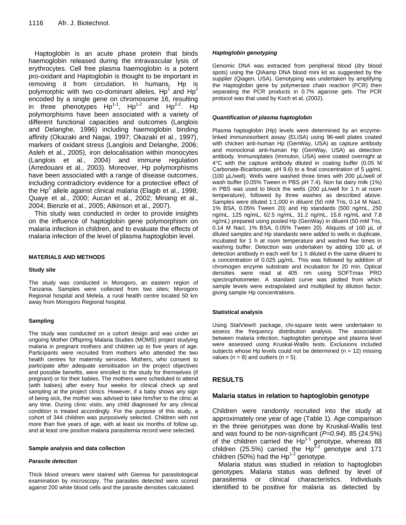Haptoglobin is an acute phase protein that binds haemoglobin released during the intravascular lysis of erythrocytes. Cell free plasma haemoglobin is a potent pro-oxidant and Haptoglobin is thought to be important in removing it from circulation. In humans, Hp is polymorphic with two co-dominant alleles, Hp<sup>1</sup> and Hp<sup>2</sup> encoded by a single gene on chromosome 16, resulting in three phenotypes  $Hp^{1-1}$ ,  $Hp^{1-2}$  and  $Hp^{2-2}$ . Hp polymorphisms have been associated with a variety of different functional capacities and outcomes (Langlois and Delanghe, 1996) including haemoglobin binding affinity (Okazaki and Nagai, 1997; Okazaki et al., 1997), markers of oxidant stress (Langlois and Delanghe, 2006; Asleh et al., 2005), iron delocalisation within monocytes (Langlois et al., 2004) and immune regulation (Arredouani et al., 2003). Moreover, Hp polymorphisms have been associated with a range of disease outcomes, including contradictory evidence for a protective effect of the Hp<sup>2</sup> allele against clinical malaria (Elagib et al., 1998; Quaye et al., 2000; Aucan et al., 2002; Minang et al., 2004; Bienzle et al., 2005; Atkinson et al., 2007).

This study was conducted in order to provide insights on the influence of haptoglobin gene polymorphism on malaria infection in children, and to evaluate the effects of malaria infection of the level of plasma haptoglobin level.

#### **MATERIALS AND METHODS**

#### **Study site**

The study was conducted in Morogoro, an eastern region of Tanzania. Samples were collected from two sites; Morogoro Regional hospital and Melela, a rural health centre located 50 km away from Morogoro Regional hospital.

#### **Sampling**

The study was conducted on a cohort design and was under an ongoing Mother Offspring Malaria Studies (MOMS) project studying malaria in pregnant mothers and children up to five years of age. Participants were recruited from mothers who attended the two health centres for maternity services. Mothers, who consent to participate after adequate sensitisation on the project objectives and possible benefits, were enrolled to the study for themselves (if pregnant) or for their babies. The mothers were scheduled to attend (with babies) after every four weeks for clinical check up and sampling at the project clinics. However, if a baby shows any sign of being sick, the mother was advised to take him/her to the clinic at any time. During clinic visits, any child diagnosed for any clinical condition is treated accordingly. For the purpose of this study, a cohort of 344 children was purposively selected. Children with not more than five years of age, with at least six months of follow up, and at least one positive malaria parasitemia record were selected.

#### **Sample analysis and data collection**

#### *Parasite detection*

Thick blood smears were stained with Giemsa for parasitological examination by microscopy. The parasites detected were scored against 200 white blood cells and the parasite densities calculated.

## *Haptoglobin genotyping*

Genomic DNA was extracted from peripheral blood (dry blood spots) using the QIAamp DNA blood mini kit as suggested by the supplier (Qiagen, USA). Genotyping was undertaken by amplifying the Haptoglobin gene by polymerase chain reaction (PCR) then separating the PCR products in 0.7% agarose gels. The PCR protocol was that used by Koch et al. (2002).

## *Quantification of plasma haptoglobin*

Plasma haptoglobin (Hp) levels were determined by an enzymelinked immunosorbent assay (ELISA) using 96-well plates coated with chicken anti-human Hp (GenWay, USA) as capture antibody and monoclonal anti-human Hp (GenWay, USA) as detection antibody. Immunoplates (Immulon, USA) were coated overnight at 4°C with the capture antibody diluted in coating buffer (0.05 M Carbonate-Bicarbonate, pH 9.6) to a final concentration of 5 µg/mL (100 µL/well). Wells were washed three times with 200 µL/well of wash buffer (0.05% Tween in PBS pH 7.4). Non fat dairy milk (1%) in PBS was used to block the wells (200 µL/well for 1 h at room temperature), followed by three washes as described above. Samples were diluted 1:1,000 in diluent (50 mM Tris, 0.14 M Nacl, 1% BSA, 0.05% Tween 20) and Hp standards (500 ng/mL, 250 ng/mL, 125 ng/mL, 62.5 ng/mL, 31.2 ng/mL, 15.6 ng/mL and 7.8 ng/mL) prepared using pooled Hp (GenWay) in diluent (50 mM Tris, 0.14 M Nacl, 1% BSA, 0.05% Tween 20). Aliquots of 100 µL of diluted samples and Hp standards were added to wells in duplicate, incubated for 1 h at room temperature and washed five times in washing buffer. Detection was undertaken by adding 100 µL of detection antibody in each well for 1 h diluted in the same diluent to a concentration of 0.025 µg/mL. This was followed by addition of chromogen enzyme substrate and incubation for 20 min. Optical densities were read at 405 nm using SOFTmax PRO spectrophotometer. A standard curve was plotted from which sample levels were extrapolated and multiplied by dilution factor, giving sample Hp concentrations.

#### **Statistical analysis**

Using StatView® package, chi-square tests were undertaken to assess the frequency distribution analysis. The association between malaria infection, haptoglobin genotype and plasma level were assessed using Kruskal-Wallis tests. Exclusions included subjects whose Hp levels could not be determined  $(n = 12)$  missing values ( $n = 8$ ) and outliers ( $n = 5$ ).

## **RESULTS**

## **Malaria status in relation to haptoglobin genotype**

Children were randomly recruited into the study at approximately one year of age (Table 1). Age comparison in the three genotypes was done by Kruskal-Wallis test and was found to be non-significant (*P=0.94*). 85 (24.5%) of the children carried the  $Hp^{1-1}$  genotype, whereas 88 children (25.5%) carried the  $Hp^{2-2}$  genotype and 171 children (50%) had the  $Hp^{1-2}$  genotype.

Malaria status was studied in relation to haptoglobin genotypes. Malaria status was defined by level of parasitemia or clinical characteristics. Individuals identified to be positive for malaria as detected by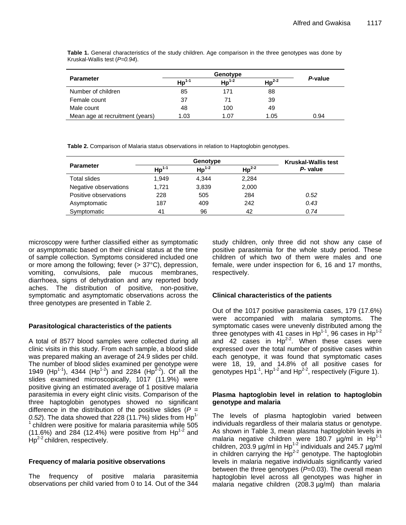**Table 1.** General characteristics of the study children. Age comparison in the three genotypes was done by Kruskal-Wallis test (*P=0.94*).

| <b>Parameter</b>                | $\text{Hp}^{1-1}$ | $\mathsf{Hp}^{1-2}$ | $Hp^{2-2}$ | P-value |  |
|---------------------------------|-------------------|---------------------|------------|---------|--|
| Number of children              | 85                | 171                 | 88         |         |  |
| Female count                    | 37                | 71                  | 39         |         |  |
| Male count                      | 48                | 100                 | 49         |         |  |
| Mean age at recruitment (years) | 1.03              | 1.07                | 1.05       | 0.94    |  |

**Table 2.** Comparison of Malaria status observations in relation to Haptoglobin genotypes.

|                       | Genotype          |                   |                   | <b>Kruskal-Wallis test</b> |
|-----------------------|-------------------|-------------------|-------------------|----------------------------|
| <b>Parameter</b>      | $\text{Hp}^{1-1}$ | $\text{Hp}^{1-2}$ | $\text{Hp}^{2-2}$ | P- value                   |
| Total slides          | 1.949             | 4.344             | 2.284             |                            |
| Negative observations | 1.721             | 3,839             | 2,000             |                            |
| Positive observations | 228               | 505               | 284               | 0.52                       |
| Asymptomatic          | 187               | 409               | 242               | 0.43                       |
| Symptomatic           | 41                | 96                | 42                | 0.74                       |

microscopy were further classified either as symptomatic or asymptomatic based on their clinical status at the time of sample collection. Symptoms considered included one or more among the following; fever (> 37°C), depression, vomiting, convulsions, pale mucous membranes, diarrhoea, signs of dehydration and any reported body aches. The distribution of positive, non-positive, symptomatic and asymptomatic observations across the three genotypes are presented in Table 2.

## **Parasitological characteristics of the patients**

A total of 8577 blood samples were collected during all clinic visits in this study. From each sample, a blood slide was prepared making an average of 24.9 slides per child. The number of blood slides examined per genotype were 1949 (Hp<sup>1-1</sup>), 4344 (Hp<sup>1-2</sup>) and 2284 (Hp<sup>2-2</sup>). Of all the slides examined microscopically, 1017 (11.9%) were positive giving an estimated average of 1 positive malaria parasitemia in every eight clinic visits. Comparison of the three haptoglobin genotypes showed no significant difference in the distribution of the positive slides  $(P =$  $(0.52)$ . The data showed that 228 (11.7%) slides from  $\text{Hp}^1$ <sup>-</sup> <sup>1</sup>children were positive for malaria parasitemia while 505  $(11.6%)$  and 284 (12.4%) were positive from Hp<sup>1-2</sup> and  $\mathsf{Hp}^{2-2}$  children, respectively.

## **Frequency of malaria positive observations**

The frequency of positive malaria parasitemia observations per child varied from 0 to 14. Out of the 344 study children, only three did not show any case of positive parasitemia for the whole study period. These children of which two of them were males and one female, were under inspection for 6, 16 and 17 months, respectively.

## **Clinical characteristics of the patients**

Out of the 1017 positive parasitemia cases, 179 (17.6%) were accompanied with malaria symptoms. The symptomatic cases were unevenly distributed among the three genotypes with 41 cases in  $Hp^{1-1}$ , 96 cases in  $Hp^{1-2}$ and  $\overline{42}$  cases in Hp<sup>2-2</sup>. When these cases were expressed over the total number of positive cases within each genotype, it was found that symptomatic cases were 18, 19, and 14.8% of all positive cases for genotypes Hp1<sup>-1</sup>, Hp<sup>1-2</sup> and Hp<sup>2-2</sup>, respectively (Figure 1).

## **Plasma haptoglobin level in relation to haptoglobin genotype and malaria**

The levels of plasma haptoglobin varied between individuals regardless of their malaria status or genotype. As shown in Table 3, mean plasma haptoglobin levels in malaria negative children were 180.7  $\mu$ g/ml in Hp<sup>1-1</sup> children, 203.9 µg/ml in Hp<sup>1-2</sup> individuals and 245.7 µg/ml in children carrying the  $Hp^{2-2}$  genotype. The haptoglobin levels in malaria negative individuals significantly varied between the three genotypes (P=0.03). The overall mean haptoglobin level across all genotypes was higher in malaria negative children (208.3 µg/ml) than malaria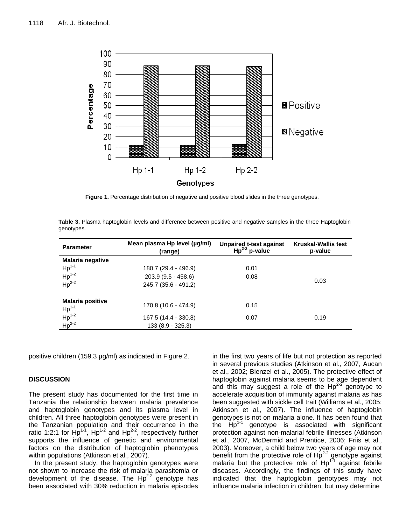

**Figure 1.** Percentage distribution of negative and positive blood slides in the three genotypes.

**Table 3.** Plasma haptoglobin levels and difference between positive and negative samples in the three Haptoglobin genotypes.

| <b>Parameter</b>                                                           | Mean plasma Hp level (µg/ml)<br>(range)   | Unpaired t-test against<br>$Hp^{2-2}p-value$ | <b>Kruskal-Wallis test</b><br>p-value |  |
|----------------------------------------------------------------------------|-------------------------------------------|----------------------------------------------|---------------------------------------|--|
| <b>Malaria negative</b>                                                    |                                           |                                              |                                       |  |
| $Hp1-1$                                                                    | 180.7 (29.4 - 496.9)                      | 0.01                                         |                                       |  |
| $Hp1-2$                                                                    | 203.9 (9.5 - 458.6)                       | 0.08                                         |                                       |  |
| $\text{Hp}^{2-2}$                                                          | 245.7 (35.6 - 491.2)                      |                                              | 0.03                                  |  |
| <b>Malaria positive</b>                                                    | 170.8 (10.6 - 474.9)                      | 0.15                                         |                                       |  |
| $\begin{array}{c}\nHp^{1-1} \\ Hp^{1-2}\n\end{array}$<br>$\text{Hp}^{2-2}$ | 167.5 (14.4 - 330.8)<br>133 (8.9 - 325.3) | 0.07                                         | 0.19                                  |  |

positive children (159.3 µg/ml) as indicated in Figure 2.

## **DISCUSSION**

The present study has documented for the first time in Tanzania the relationship between malaria prevalence and haptoglobin genotypes and its plasma level in children. All three haptoglobin genotypes were present in the Tanzanian population and their occurrence in the ratio 1:2:1 for  $\text{Hp}^{1-1}$ ,  $\text{Hp}^{1-2}$  and  $\text{Hp}^{2-2}$ , respectively further supports the influence of genetic and environmental factors on the distribution of haptoglobin phenotypes within populations (Atkinson et al., 2007).

In the present study, the haptoglobin genotypes were not shown to increase the risk of malaria parasitemia or development of the disease. The  $Hp^{2-2}$  genotype has been associated with 30% reduction in malaria episodes in the first two years of life but not protection as reported in several previous studies (Atkinson et al., 2007, Aucan et al., 2002; Bienzel et al., 2005). The protective effect of haptoglobin against malaria seems to be age dependent and this may suggest a role of the  $Hp^{2-2}$  genotype to accelerate acquisition of immunity against malaria as has been suggested with sickle cell trait (Williams et al., 2005; Atkinson et al., 2007). The influence of haptoglobin genotypes is not on malaria alone. It has been found that the  $HP<sup>1-1</sup>$  genotype is associated with significant protection against non-malarial febrile illnesses (Atkinson et al., 2007, McDermid and Prentice, 2006; Friis et al., 2003). Moreover, a child below two years of age may not benefit from the protective role of  $Hp^{2-2}$  genotype against malaria but the protective role of Hp<sup>1-1</sup> against febrile diseases. Accordingly, the findings of this study have indicated that the haptoglobin genotypes may not influence malaria infection in children, but may determine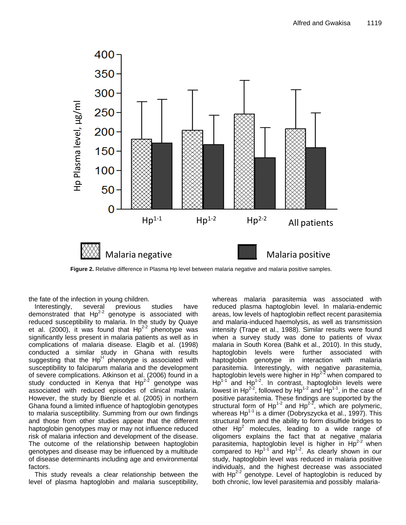

**Figure 2.** Relative difference in Plasma Hp level between malaria negative and malaria positive samples.

the fate of the infection in young children.

Interestingly, several previous studies have demonstrated that  $Hp^{2-2}$  genotype is associated with reduced susceptibility to malaria. In the study by Quaye et al. (2000), it was found that  $Hp^{2-2}$  phenotype was significantly less present in malaria patients as well as in complications of malaria disease. Elagib et al. (1998) conducted a similar study in Ghana with results suggesting that the  $Hp^H$  phenotype is associated with susceptibility to falciparum malaria and the development of severe complications. Atkinson et al. (2006) found in a study conducted in Kenya that  $Hp^{2-2}$  genotype was associated with reduced episodes of clinical malaria. However, the study by Bienzle et al. (2005) in northern Ghana found a limited influence of haptoglobin genotypes to malaria susceptibility. Summing from our own findings and those from other studies appear that the different haptoglobin genotypes may or may not influence reduced risk of malaria infection and development of the disease. The outcome of the relationship between haptoglobin genotypes and disease may be influenced by a multitude of disease determinants including age and environmental factors.

This study reveals a clear relationship between the level of plasma haptoglobin and malaria susceptibility,

whereas malaria parasitemia was associated with reduced plasma haptoglobin level. In malaria-endemic areas, low levels of haptoglobin reflect recent parasitemia and malaria-induced haemolysis, as well as transmission intensity (Trape et al., 1988). Similar results were found when a survey study was done to patients of vivax malaria in South Korea (Bahk et al., 2010). In this study, haptoglobin levels were further associated with haptoglobin genotype in interaction with malaria parasitemia. Interestingly, with negative parasitemia, haptoglobin levels were higher in  $Hp^{2-2}$  when compared to  $Hp^{1-1}$  and  $Hp^{1-2}$ . In contrast, haptoglobin levels were lowest in Hp<sup>2-2</sup>, followed by Hp<sup>1-2</sup> and Hp<sup>1-1</sup>, in the case of positive parasitemia. These findings are supported by the structural form of  $Hp^{1-2}$  and  $Hp^{2-2}$ , which are polymeric, whereas  $\text{Hp}^{1-1}$  is a dimer (Dobryszycka et al., 1997). This structural form and the ability to form disulfide bridges to other  $Hp^2$  molecules, leading to a wide range of oligomers explains the fact that at negative malaria parasitemia, haptoglobin level is higher in  $Hp^{2-2}$  when compared to  $\text{Hp}^{1-1}$  and  $\text{Hp}^{1-2}$ . As clearly shown in our study, haptoglobin level was reduced in malaria positive individuals, and the highest decrease was associated with  $Hp^{2-2}$  genotype. Level of haptoglobin is reduced by both chronic, low level parasitemia and possibly malaria